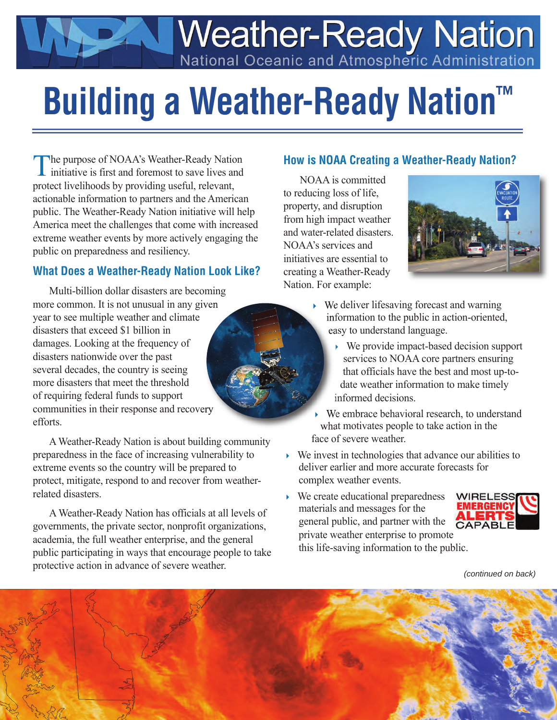Weather-Ready Nation

## **Building a Weather-Ready Nation™**

The purpose of NOAA's Weather-Ready Nation initiative is first and foremost to save lives and protect livelihoods by providing useful, relevant, actionable information to partners and the American public. The Weather-Ready Nation initiative will help America meet the challenges that come with increased extreme weather events by more actively engaging the public on preparedness and resiliency.

## **What Does a Weather-Ready Nation Look Like?**

Multi-billion dollar disasters are becoming more common. It is not unusual in any given year to see multiple weather and climate disasters that exceed \$1 billion in damages. Looking at the frequency of disasters nationwide over the past several decades, the country is seeing more disasters that meet the threshold of requiring federal funds to support communities in their response and recovery efforts.

A Weather-Ready Nation is about building community preparedness in the face of increasing vulnerability to extreme events so the country will be prepared to protect, mitigate, respond to and recover from weatherrelated disasters.

A Weather-Ready Nation has officials at all levels of governments, the private sector, nonprofit organizations, academia, the full weather enterprise, and the general public participating in ways that encourage people to take protective action in advance of severe weather.

## **How is NOAA Creating a Weather-Ready Nation?**

NOAA is committed to reducing loss of life, property, and disruption from high impact weather and water-related disasters. NOAA's services and initiatives are essential to creating a Weather-Ready Nation. For example:



- $\rightarrow$  We deliver lifesaving forecast and warning information to the public in action-oriented, easy to understand language.
	- $\rightarrow$  We provide impact-based decision support services to NOAA core partners ensuring that officials have the best and most up-todate weather information to make timely informed decisions.
- We embrace behavioral research, to understand what motivates people to take action in the face of severe weather.
- $\rightarrow$  We invest in technologies that advance our abilities to deliver earlier and more accurate forecasts for complex weather events.
- $\rightarrow$  We create educational preparedness materials and messages for the general public, and partner with the private weather enterprise to promote this life-saving information to the public.



*(continued on back)*